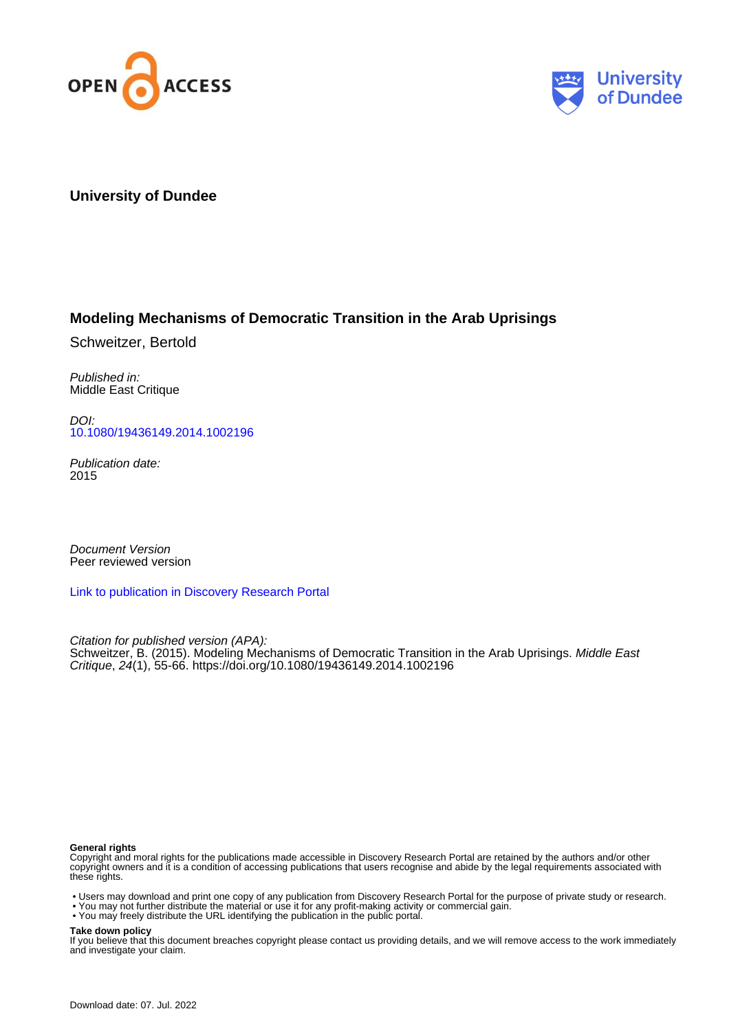



### **University of Dundee**

### **Modeling Mechanisms of Democratic Transition in the Arab Uprisings**

Schweitzer, Bertold

Published in: Middle East Critique

DOI: [10.1080/19436149.2014.1002196](https://doi.org/10.1080/19436149.2014.1002196)

Publication date: 2015

Document Version Peer reviewed version

[Link to publication in Discovery Research Portal](https://discovery.dundee.ac.uk/en/publications/8178c113-d30d-43b7-8e35-798811fca64f)

Citation for published version (APA): Schweitzer, B. (2015). Modeling Mechanisms of Democratic Transition in the Arab Uprisings. Middle East Critique, 24(1), 55-66.<https://doi.org/10.1080/19436149.2014.1002196>

### **General rights**

Copyright and moral rights for the publications made accessible in Discovery Research Portal are retained by the authors and/or other copyright owners and it is a condition of accessing publications that users recognise and abide by the legal requirements associated with these rights.

- Users may download and print one copy of any publication from Discovery Research Portal for the purpose of private study or research.
- You may not further distribute the material or use it for any profit-making activity or commercial gain.
- You may freely distribute the URL identifying the publication in the public portal.

#### **Take down policy**

If you believe that this document breaches copyright please contact us providing details, and we will remove access to the work immediately and investigate your claim.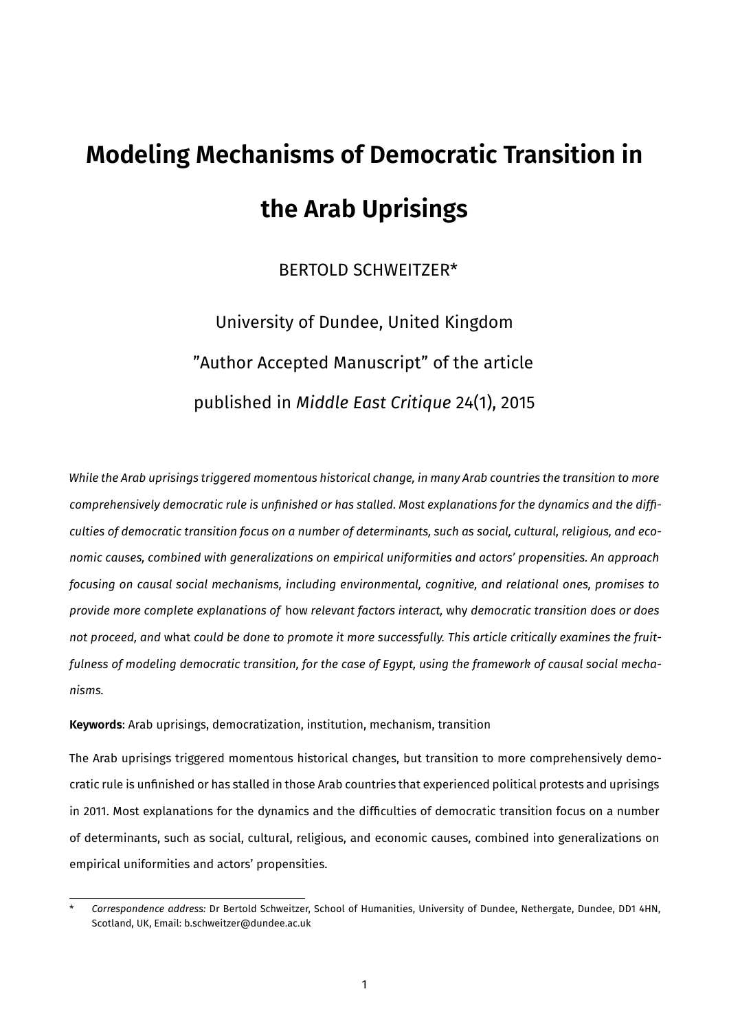# **Modeling Mechanisms of Democratic Transition in the Arab Uprisings**

## BERTOLD SCHWEITZER\*

## University of Dundee, United Kingdom "Author Accepted Manuscript" of the article published in *Middle East Critique* 24(1), 2015

*While the Arab uprisings triggered momentous historical change, in many Arab countries the transition to more comprehensively democratic rule is unfinished or has stalled. Most explanations for the dynamics and the difficulties of democratic transition focus on a number of determinants, such as social, cultural, religious, and economic causes, combined with generalizations on empirical uniformities and actors' propensities. An approach focusing on causal social mechanisms, including environmental, cognitive, and relational ones, promises to provide more complete explanations of* h⁸w *relevant factors interact,* why *democratic transition does or does not proceed, and* what *could be done to promote it more successfully. This article critically examines the fruitfulness of modeling democratic transition, for the case of Egypt, using the framework of causal social mechanisms.*

**Keywords:** Arab uprisings, democratization, institution, mechanism, transition

The Arab uprisings triggered momentous historical changes, but transition to more comprehensively democratic rule is unfinished or has stalled in those Arab countries that experienced political protests and uprisings in 2011. Most explanations for the dynamics and the difficulties of democratic transition focus on a number of determinants, such as social, cultural, religious, and economic causes, combined into generalizations on empirical uniformities and actors' propensities.

Correspondence address: Dr Bertold Schweitzer, School of Humanities, University of Dundee, Nethergate, Dundee, DD1 4HN, Scotland, UK, Email: b.schweitzer@dundee.ac.uk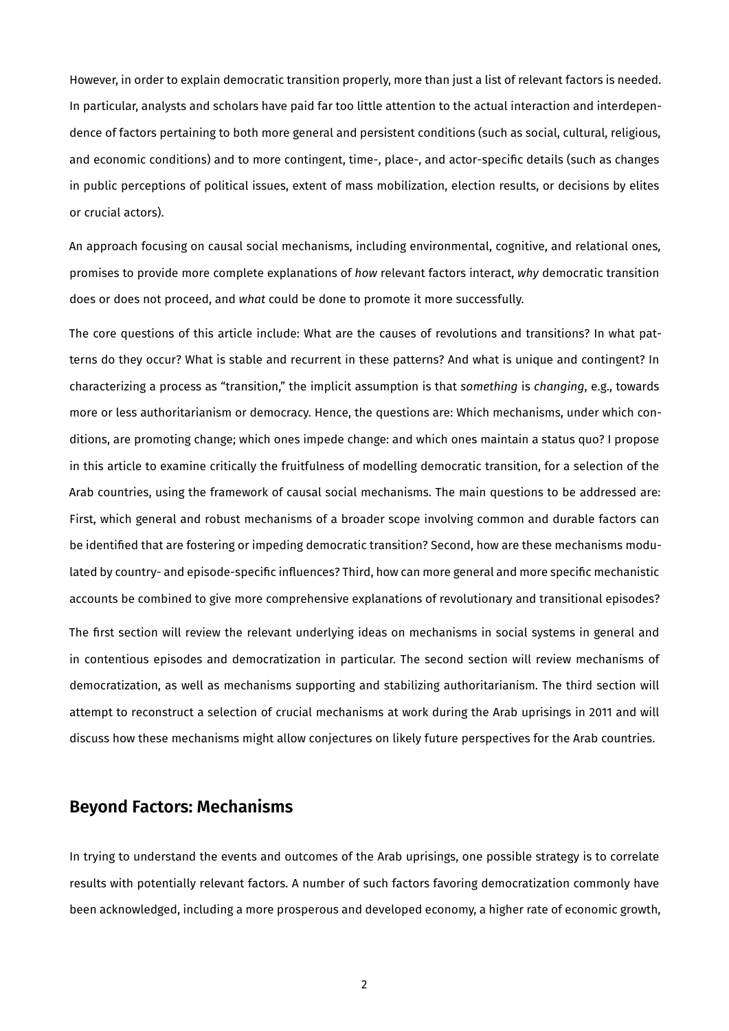However, in order to explain democratic transition properly, more than just a list of relevant factors is needed. In particular, analysts and scholars have paid far too little attention to the actual interaction and interdependence of factors pertaining to both more general and persistent conditions (such as social, cultural, religious, and economic conditions) and to more contingent, time-, place-, and actor-specific details (such as changes in public perceptions of political issues, extent of mass mobilization, election results, or decisions by elites or crucial actors).

An approach focusing on causal social mechanisms, including environmental, cognitive, and relational ones, promises to provide more complete explanations of *how* relevant factors interact, *why* democratic transition does or does not proceed, and *what* could be done to promote it more successfully.

The core questions of this article include: What are the causes of revolutions and transitions? In what patterns do they occur? What is stable and recurrent in these patterns? And what is unique and contingent? In characterizing a process as "transition," the implicit assumption is that *something* is *changing*, e.g., towards more or less authoritarianism or democracy. Hence, the questions are: Which mechanisms, under which conditions, are promoting change; which ones impede change: and which ones maintain a status quo? I propose in this article to examine critically the fruitfulness of modelling democratic transition, for a selection of the Arab countries, using the framework of causal social mechanisms. The main questions to be addressed are: First, which general and robust mechanisms of a broader scope involving common and durable factors can be identified that are fostering or impeding democratic transition? Second, how are these mechanisms modulated by country- and episode-specific influences? Third, how can more general and more specific mechanistic accounts be combined to give more comprehensive explanations of revolutionary and transitional episodes?

The first section will review the relevant underlying ideas on mechanisms in social systems in general and in contentious episodes and democratization in particular. The second section will review mechanisms of democratization, as well as mechanisms supporting and stabilizing authoritarianism. The third section will attempt to reconstruct a selection of crucial mechanisms at work during the Arab uprisings in 2011 and will discuss how these mechanisms might allow conjectures on likely future perspectives for the Arab countries.

## **Beyond Factors: Mechanisms**

In trying to understand the events and outcomes of the Arab uprisings, one possible strategy is to correlate results with potentially relevant factors. A number of such factors favoring democratization commonly have been acknowledged, including a more prosperous and developed economy, a higher rate of economic growth,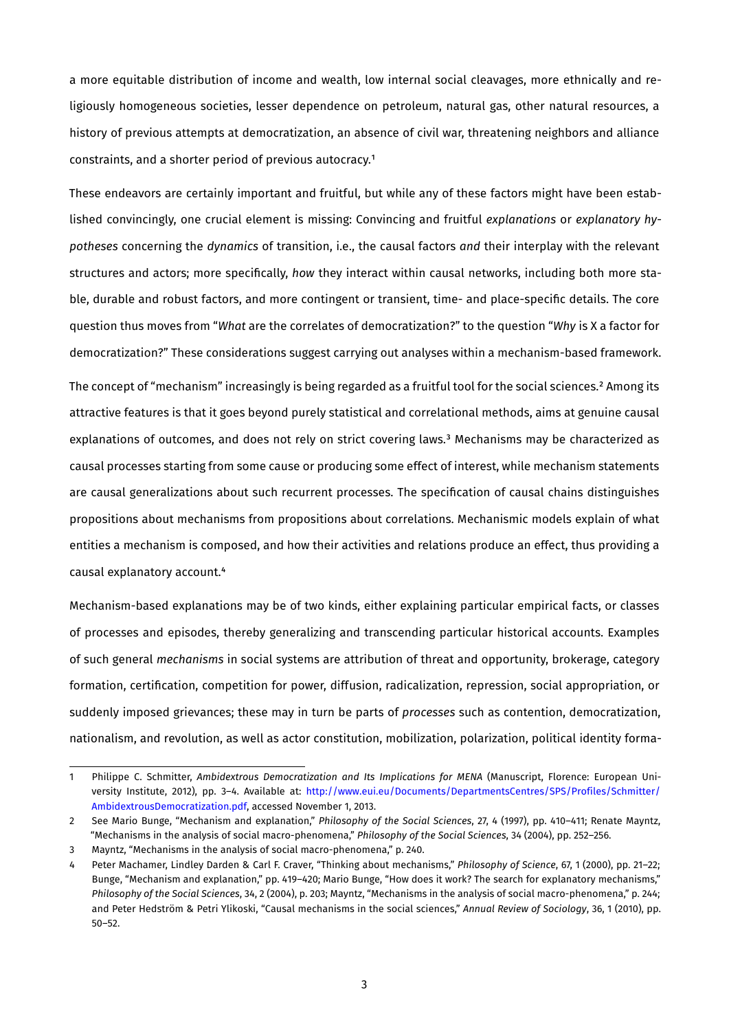a more equitable distribution of income and wealth, low internal social cleavages, more ethnically and religiously homogeneous societies, lesser dependence on petroleum, natural gas, other natural resources, a history of previous attempts at democratization, an absence of civil war, threatening neighbors and alliance constraints, and a shorter period of previous autocracy.<sup>1</sup>

These endeavors are certainly important and fruitful, but while any of these factors might have been established convincingly, one crucial element is missing: Convincing and fruitful *explanations* or *explanatory hypotheses* concerning the *dynamics* of transition, i.e., the causal factors *and* their interplay with the relevant structures and actors; more specifically, *how* they interact within causal networks, including both more stable, durable and robust factors, and more contingent or transient, time- and place-specific details. The core question thus moves from "*What* are the correlates of democratization?" to the question "*Why* is X a factor for democratization?" These considerations suggest carrying out analyses within a mechanism-based framework.

The concept of "mechanism" increasingly is being regarded as a fruitful tool for the social sciences.<sup>2</sup> Among its attractive features is that it goes beyond purely statistical and correlational methods, aims at genuine causal explanations of outcomes, and does not rely on strict covering laws.<sup>3</sup> Mechanisms may be characterized as causal processes starting from some cause or producing some effect of interest, while mechanism statements are causal generalizations about such recurrent processes. The specification of causal chains distinguishes propositions about mechanisms from propositions about correlations. Mechanismic models explain of what entities a mechanism is composed, and how their activities and relations produce an effect, thus providing a causal explanatory account.<sup>4</sup>

Mechanism-based explanations may be of two kinds, either explaining particular empirical facts, or classes of processes and episodes, thereby generalizing and transcending particular historical accounts. Examples of such general *mechanisms* in social systems are attribution of threat and opportunity, brokerage, category formation, certification, competition for power, diffusion, radicalization, repression, social appropriation, or suddenly imposed grievances; these may in turn be parts of *processes* such as contention, democratization, nationalism, and revolution, as well as actor constitution, mobilization, polarization, political identity forma-

<span id="page-3-0"></span><sup>1</sup> Philippe C. Schmitter, Ambidextrous Democratization and Its Implications for MENA (Manuscript, Florence: European University Institute, 2012), pp. 3-4. Available at: http://www.eui.eu/Documents/DepartmentsCentres/SPS/Profiles/Schmitter/ AmbidextrousDemocratization.pdf, accessed November 1, 2013.

<span id="page-3-1"></span><sup>2</sup> See Mario Bunge, "Mechanism and explanation," *Philosophy of the Social Sciences*, 27, 4 (1997), pp. 410-411; Renate Mayntz, "Mechanisms in the analysis of social macro-phenomena," *Philosophy of the Social Sciences*, 34 (2004), pp. 252-256.

<span id="page-3-2"></span><sup>3</sup> Mayntz, "Mechanisms in the analysis of social macro-phenomena," p. 240.

<span id="page-3-3"></span>Peter Machamer, Lindley Darden & Carl F. Craver, "Thinking about mechanisms," *Philosophy of Science*, 67, 1 (2000), pp. 21-22; Bunge, "Mechanism and explanation," pp. 419-420; Mario Bunge, "How does it work? The search for explanatory mechanisms," Philosophy of the Social Sciences, 34, 2 (2004), p. 203; Mayntz, "Mechanisms in the analysis of social macro-phenomena," p. 244; and Peter Hedström & Petri Ylikoski, "Causal mechanisms in the social sciences," *Annual Review of Sociology*, 36, 1 (2010), pp.  $50 - 52.$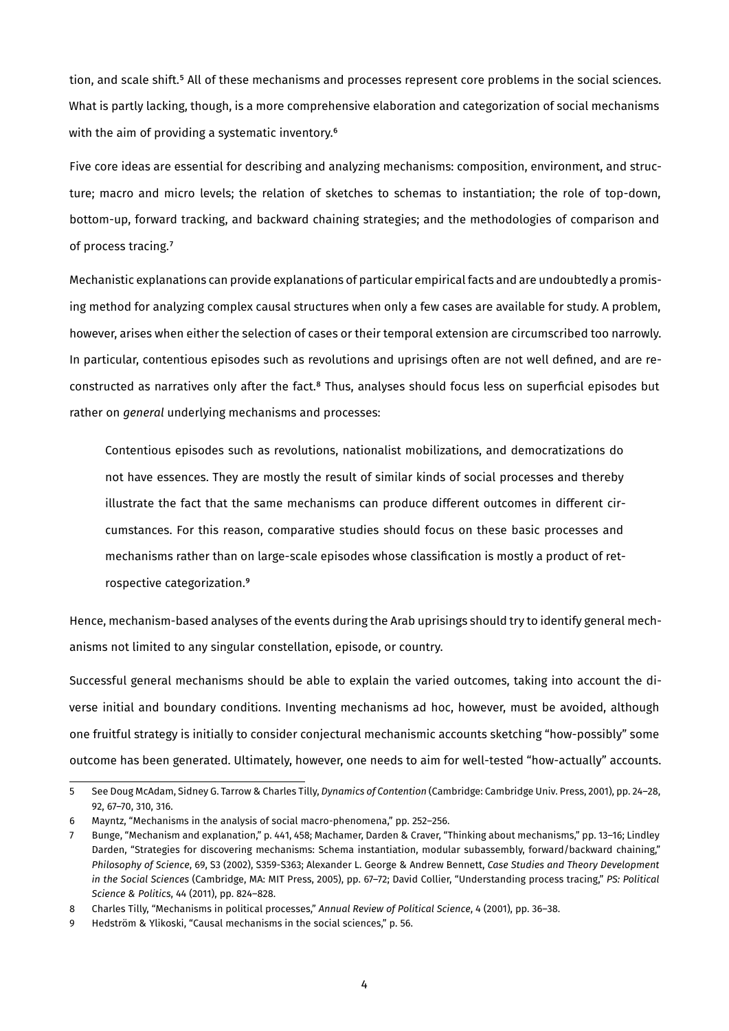tion, and scale shift.<sup>5</sup> All of these mechanisms and processes represent core problems in the social sciences. What is partly lacking, though, is a more comprehensive elaboration and categorization of social mechanisms with the aim of providing a systematic inventory.<sup>6</sup>

Five core ideas are essential for describing and analyzing mechanisms: composition, environment, and structure; macro and micro levels; the relation of sketches to schemas to instantiation; the role of top-down, bottom-up, forward tracking, and backward chaining strategies; and the methodologies of comparison and of process tracing.<sup>7</sup>

Mechanistic explanations can provide explanations of particular empirical facts and are undoubtedly a promising method for analyzing complex causal structures when only a few cases are available for study. A problem, however, arises when either the selection of cases or their temporal extension are circumscribed too narrowly. In particular, contentious episodes such as revolutions and uprisings often are not well defined, and are reconstructed as narratives only after the fact.<sup>8</sup> Thus, analyses should focus less on superficial episodes but rather on *general* underlying mechanisms and processes:

Contentious episodes such as revolutions, nationalist mobilizations, and democratizations do not have essences. They are mostly the result of similar kinds of social processes and thereby illustrate the fact that the same mechanisms can produce different outcomes in different circumstances. For this reason, comparative studies should focus on these basic processes and mechanisms rather than on large-scale episodes whose classification is mostly a product of retrospective categorization.<sup>9</sup>

Hence, mechanism-based analyses of the events during the Arab uprisings should try to identify general mechanisms not limited to any singular constellation, episode, or country.

Successful general mechanisms should be able to explain the varied outcomes, taking into account the diverse initial and boundary conditions. Inventing mechanisms ad hoc, however, must be avoided, although one fruitful strategy is initially to consider conjectural mechanismic accounts sketching "how-possibly" some outcome has been generated. Ultimately, however, one needs to aim for well-tested "how-actually" accounts.

<span id="page-4-0"></span><sup>5</sup> See Doug McAdam, Sidney G. Tarrow & Charles Tilly, *Dynamics of Contention* (Cambridge: Cambridge Univ. Press, 2001), pp. 24-28, 92, 67-70, 310, 316.

<span id="page-4-1"></span><sup>6</sup> Mayntz, "Mechanisms in the analysis of social macro-phenomena," pp. 252-256.

<span id="page-4-2"></span><sup>7</sup> Bunge, "Mechanism and explanation," p. 441, 458; Machamer, Darden & Craver, "Thinking about mechanisms," pp. 13-16; Lindley Darden, "Strategies for discovering mechanisms: Schema instantiation, modular subassembly, forward/backward chaining," *Philosophy of Science*, 69, S3 (2002), S359-S363; Alexander L. George & Andrew Bennett, Case Studies and Theory Development *in the Social Sciences* (Cambridge, MA: MIT Press, 2005), pp. 67-72; David Collier, "Understanding process tracing," PS: Political *Science & Politics*, 44 (2011), pp. 824-828.

<span id="page-4-3"></span><sup>8</sup> Charles Tilly, "Mechanisms in political processes," *Annual Review of Political Science*, 4 (2001), pp. 36-38.

<span id="page-4-4"></span>θ Hedström & Ylikoski, "Causal mechanisms in the social sciences," p. 56.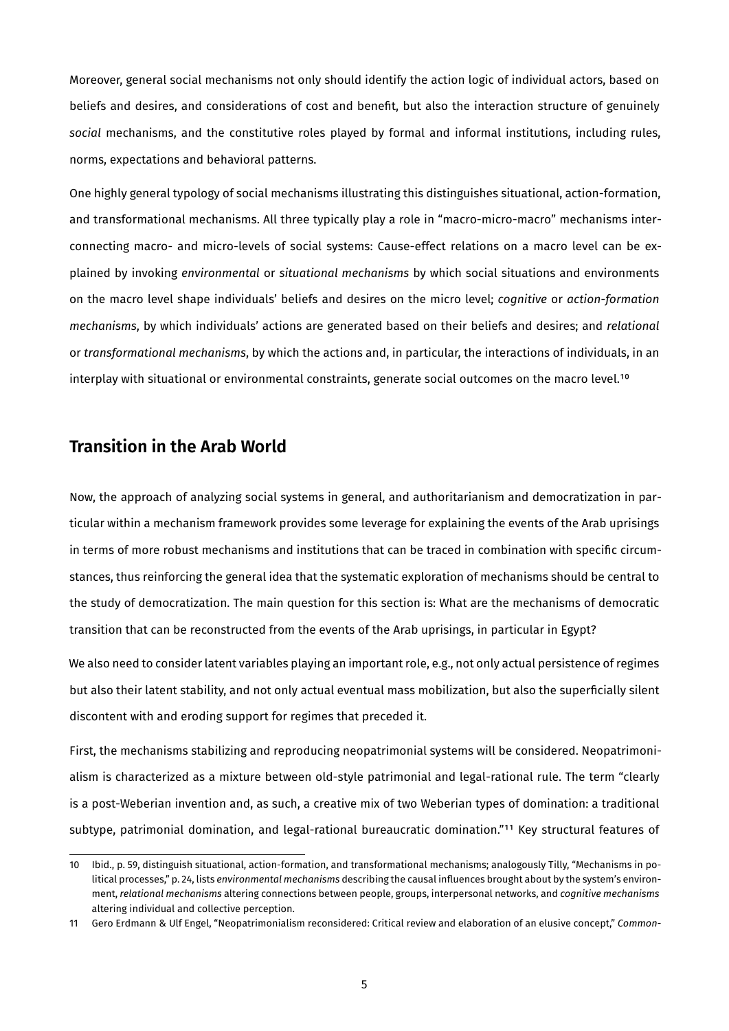Moreover, general social mechanisms not only should identify the action logic of individual actors, based on beliefs and desires, and considerations of cost and benefit, but also the interaction structure of genuinely social mechanisms, and the constitutive roles played by formal and informal institutions, including rules, norms, expectations and behavioral patterns.

One highly general typology of social mechanisms illustrating this distinguishes situational, action-formation, and transformational mechanisms. All three typically play a role in "macro-micro-macro" mechanisms interconnecting macro- and micro-levels of social systems: Cause-effect relations on a macro level can be explained by invoking *environmental* or *situational mechanisms* by which social situations and environments ⁸n the macr⁸ level shape individuals' beliefs and desires ⁸n the micr⁸ level; *cognitive* ⁸r *action-formation mechanisms*, by which individuals' actions are generated based on their beliefs and desires; and *relational* or *transformational mechanisms*, by which the actions and, in particular, the interactions of individuals, in an interplay with situational or environmental constraints, generate social outcomes on the macro level.<sup>10</sup>

### **Transition in the Arab World**

Now, the approach of analyzing social systems in general, and authoritarianism and democratization in particular within a mechanism framework provides some leverage for explaining the events of the Arab uprisings in terms of more robust mechanisms and institutions that can be traced in combination with specific circumstances, thus reinforcing the general idea that the systematic exploration of mechanisms should be central to the study of democratization. The main question for this section is: What are the mechanisms of democratic transition that can be reconstructed from the events of the Arab uprisings, in particular in Egypt?

We also need to consider latent variables playing an important role, e.g., not only actual persistence of regimes but also their latent stability, and not only actual eventual mass mobilization, but also the superficially silent discontent with and eroding support for regimes that preceded it.

First, the mechanisms stabilizing and reproducing neopatrimonial systems will be considered. Neopatrimonialism is characterized as a mixture between old-style patrimonial and legal-rational rule. The term "clearly is a post-Weberian invention and, as such, a creative mix of two Weberian types of domination: a traditional subtype, patrimonial domination, and legal-rational bureaucratic domination."<sup>11</sup> Key structural features of

<span id="page-5-0"></span><sup>10</sup> Ibid., p. 59, distinguish situational, action-formation, and transformational mechanisms; analogously Tilly, "Mechanisms in political processes," p. 24, lists *environmental mechanisms* describing the causal influences brought about by the system's environment, relational mechanisms altering connections between people, groups, interpersonal networks, and *cognitive mechanisms* altering individual and collective perception.

<span id="page-5-1"></span><sup>11</sup> Gero Erdmann & Ulf Engel, "Neopatrimonialism reconsidered: Critical review and elaboration of an elusive concept," Common-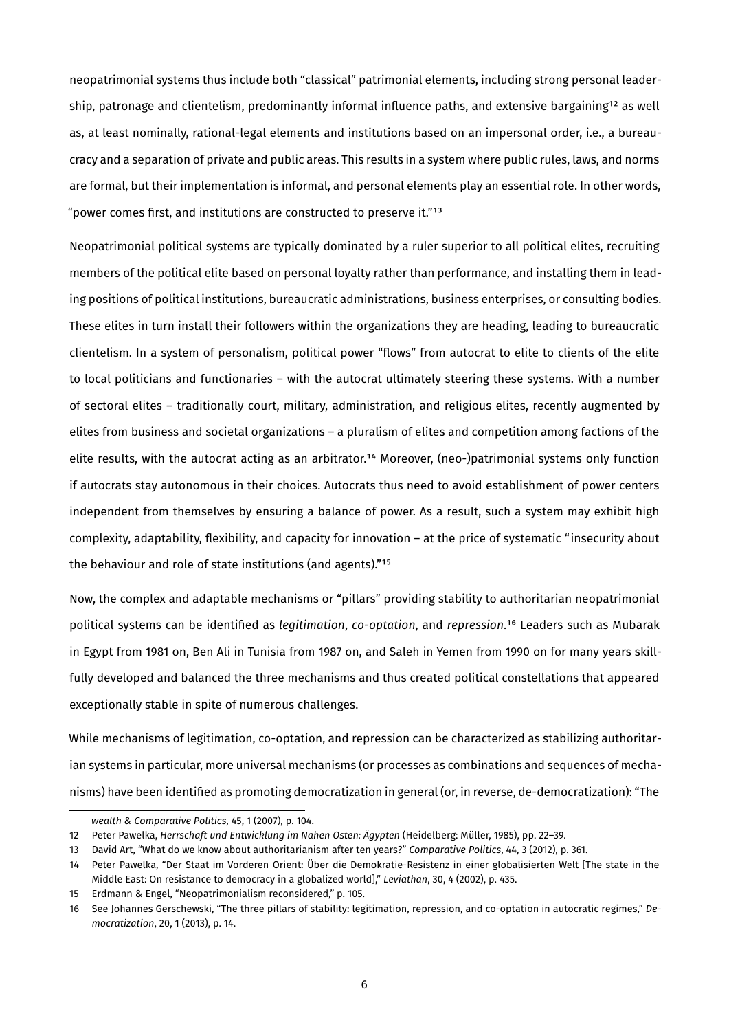neopatrimonial systems thus include both "classical" patrimonial elements, including strong personal leadership, patronage and clientelism, predominantly informal influence paths, and extensive bargaining<sup>12</sup> as well as, at least nominally, rational-legal elements and institutions based on an impersonal order, i.e., a bureaucracy and a separation of private and public areas. This results in a system where public rules, laws, and norms are formal, but their implementation is informal, and personal elements play an essential role. In other words, "power comes first, and institutions are constructed to preserve it."<sup>13</sup>

Neopatrimonial political systems are typically dominated by a ruler superior to all political elites, recruiting members of the political elite based on personal loyalty rather than performance, and installing them in leading positions of political institutions, bureaucratic administrations, business enterprises, or consulting bodies. These elites in turn install their followers within the organizations they are heading, leading to bureaucratic clientelism. In a system of personalism, political power "flows" from autocrat to elite to clients of the elite to local politicians and functionaries – with the autocrat ultimately steering these systems. With a number of sectoral elites – traditionally court, military, administration, and religious elites, recently augmented by elites from business and societal organizations – a pluralism of elites and competition among factions of the elite results, with the autocrat acting as an arbitrator.<sup>14</sup> Moreover, (neo-)patrimonial systems only function if autocrats stay autonomous in their choices. Autocrats thus need to avoid establishment of power centers independent from themselves by ensuring a balance of power. As a result, such a system may exhibit high complexity, adaptability, flexibility, and capacity for innovation – at the price of systematic "insecurity about the behaviour and role of state institutions (and agents)."<sup>15</sup>

Now, the complex and adaptable mechanisms or "pillars" providing stability to authoritarian neopatrimonial political systems can be identified as *legitimation*, *co-optation*, and *repression*.<sup>16</sup> Leaders such as Mubarak in Egypt from 1981 on, Ben Ali in Tunisia from 1987 on, and Saleh in Yemen from 1990 on for many years skillfully developed and balanced the three mechanisms and thus created political constellations that appeared exceptionally stable in spite of numerous challenges.

While mechanisms of legitimation, co-optation, and repression can be characterized as stabilizing authoritarian systems in particular, more universal mechanisms (or processes as combinations and sequences of mechanisms) have been identified as promoting democratization in general (or, in reverse, de-democratization): "The

<span id="page-6-1"></span><span id="page-6-0"></span>*wealth & Comparative Politics*, 45, 1 (2007), p. 104.

<sup>12</sup> Peter Pawelka, *Herrschaft und Entwicklung im Nahen Osten: Ägypten* (Heidelberg: Müller, 1985), pp. 22-39.

<sup>13</sup> David Art, "What do we know about authoritarianism after ten years?" *Comparative Politics*, 44, 3 (2012), p. 361.

<span id="page-6-2"></span><sup>14</sup> Peter Pawelka, "Der Staat im Vorderen Orient: Über die Demokratie-Resistenz in einer globalisierten Welt [The state in the Middle East: On resistance to democracy in a globalized world]," *Leviathan*, 30, 4 (2002), p. 435.

<span id="page-6-3"></span><sup>15</sup> Erdmann & Engel, "Neopatrimonialism reconsidered," p. 105.

<span id="page-6-4"></span><sup>16</sup> See Johannes Gerschewski, "The three pillars of stability: legitimation, repression, and co-optation in autocratic regimes," De*mocratization*, 20, 1 (2013), p. 14.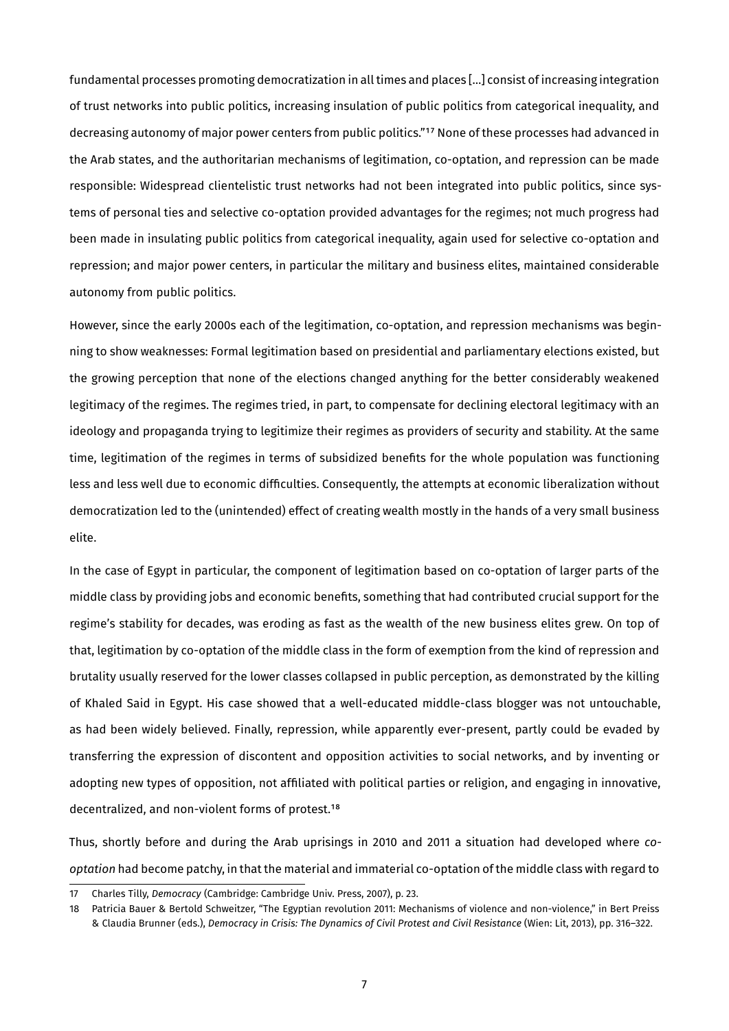fundamental processes promoting democratization in all times and places [...] consist of increasing integration of trust networks into public politics, increasing insulation of public politics from categorical inequality, and decreasing autonomy of major power centers from public politics."<sup>17</sup> None of these processes had advanced in the Arab states, and the authoritarian mechanisms of legitimation, co-optation, and repression can be made responsible: Widespread clientelistic trust networks had not been integrated into public politics, since systems of personal ties and selective co-optation provided advantages for the regimes; not much progress had been made in insulating public politics from categorical inequality, again used for selective co-optation and repression; and major power centers, in particular the military and business elites, maintained considerable autonomy from public politics.

However, since the early 2000s each of the legitimation, co-optation, and repression mechanisms was beginning to show weaknesses: Formal legitimation based on presidential and parliamentary elections existed, but the growing perception that none of the elections changed anything for the better considerably weakened legitimacy of the regimes. The regimes tried, in part, to compensate for declining electoral legitimacy with an ideology and propaganda trying to legitimize their regimes as providers of security and stability. At the same time, legitimation of the regimes in terms of subsidized benefits for the whole population was functioning less and less well due to economic difficulties. Consequently, the attempts at economic liberalization without democratization led to the (unintended) effect of creating wealth mostly in the hands of a very small business elite.

In the case of Egypt in particular, the component of legitimation based on co-optation of larger parts of the middle class by providing jobs and economic benefits, something that had contributed crucial support for the regime's stability for decades, was eroding as fast as the wealth of the new business elites grew. On top of that, legitimation by co-optation of the middle class in the form of exemption from the kind of repression and brutality usually reserved for the lower classes collapsed in public perception, as demonstrated by the killing of Khaled Said in Egypt. His case showed that a well-educated middle-class blogger was not untouchable, as had been widely believed. Finally, repression, while apparently ever-present, partly could be evaded by transferring the expression of discontent and opposition activities to social networks, and by inventing or adopting new types of opposition, not affiliated with political parties or religion, and engaging in innovative, decentralized, and non-violent forms of protest.<sup>18</sup>

Thus, shortly before and during the Arab uprisings in 2010 and 2011 a situation had developed where *cooptation* had become patchy, in that the material and immaterial co-optation of the middle class with regard to

<span id="page-7-0"></span><sup>17</sup> Charles Tilly, *Democracy* (Cambridge: Cambridge Univ. Press, 2007), p. 23.

<span id="page-7-1"></span><sup>18</sup> Patricia Bauer & Bertold Schweitzer, "The Egyptian revolution 2011: Mechanisms of violence and non-violence," in Bert Preiss & Claudia Brunner (eds.), *Democracy in Crisis: The Dynamics of Civil Protest and Civil Resistance* (Wien: Lit, 2013), pp. 316-322.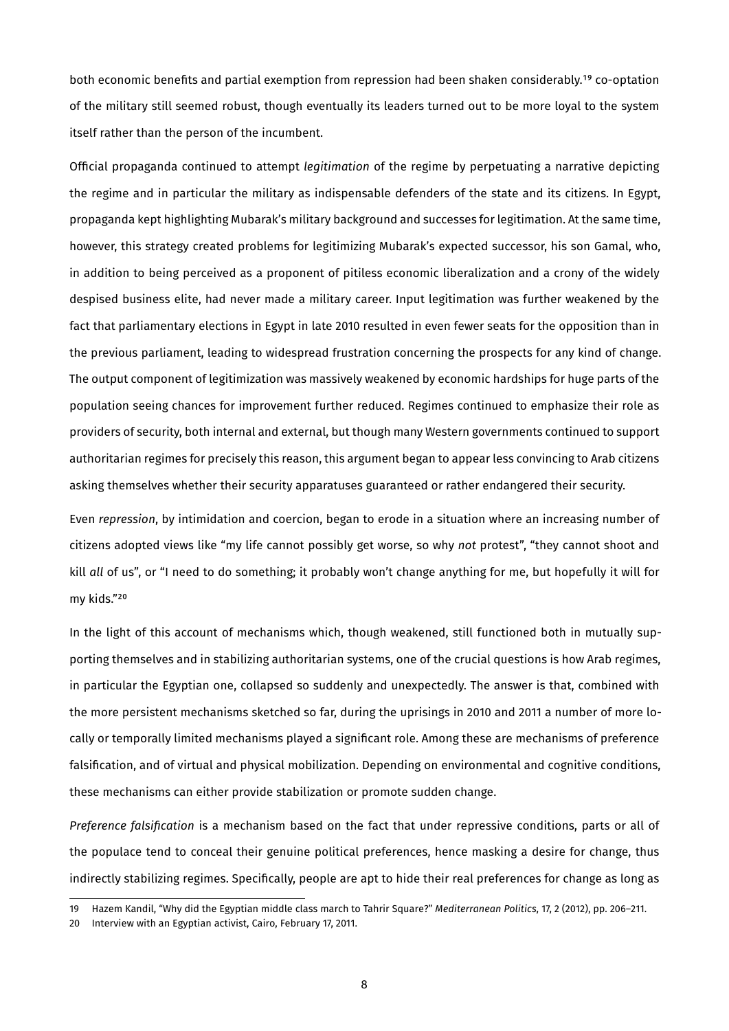both economic benefits and partial exemption from repression had been shaken considerably.<sup>19</sup> co-optation of the military still seemed robust, though eventually its leaders turned out to be more loyal to the system itself rather than the person of the incumbent.

Official propaganda continued to attempt *legitimation* of the regime by perpetuating a narrative depicting the regime and in particular the military as indispensable defenders of the state and its citizens. In Egypt, propaganda kept highlighting Mubarak's military background and successes for legitimation. At the same time, however, this strategy created problems for legitimizing Mubarak's expected successor, his son Gamal, who, in addition to being perceived as a proponent of pitiless economic liberalization and a crony of the widely despised business elite, had never made a military career. Input legitimation was further weakened by the fact that parliamentary elections in Egypt in late 2010 resulted in even fewer seats for the opposition than in the previous parliament, leading to widespread frustration concerning the prospects for any kind of change. The output component of legitimization was massively weakened by economic hardships for huge parts of the population seeing chances for improvement further reduced. Regimes continued to emphasize their role as providers of security, both internal and external, but though many Western governments continued to support authoritarian regimes for precisely this reason, this argument began to appear less convincing to Arab citizens asking themselves whether their security apparatuses guaranteed or rather endangered their security.

Even *repression*, by intimidation and coercion, began to erode in a situation where an increasing number of citizens adopted views like "my life cannot possibly get worse, so why *not* protest", "they cannot shoot and kill all of us", or "I need to do something; it probably won't change anything for me, but hopefully it will for my kids."20

In the light of this account of mechanisms which, though weakened, still functioned both in mutually supporting themselves and in stabilizing authoritarian systems, one of the crucial questions is how Arab regimes, in particular the Egyptian one, collapsed so suddenly and unexpectedly. The answer is that, combined with the more persistent mechanisms sketched so far, during the uprisings in 2010 and 2011 a number of more locally or temporally limited mechanisms played a significant role. Among these are mechanisms of preference falsification, and of virtual and physical mobilization. Depending on environmental and cognitive conditions, these mechanisms can either provide stabilization or promote sudden change.

*Preference falsification* is a mechanism based on the fact that under repressive conditions, parts or all of the populace tend to conceal their genuine political preferences, hence masking a desire for change, thus indirectly stabilizing regimes. Specifically, people are apt to hide their real preferences for change as long as

<span id="page-8-0"></span><sup>19</sup> Hazem Kandil, "Why did the Egyptian middle class march to Tahrir Square?" *Mediterranean Politics*, 17, 2 (2012), pp. 206-211.

<span id="page-8-1"></span><sup>20</sup> Interview with an Egyptian activist, Cairo, February 17, 2011.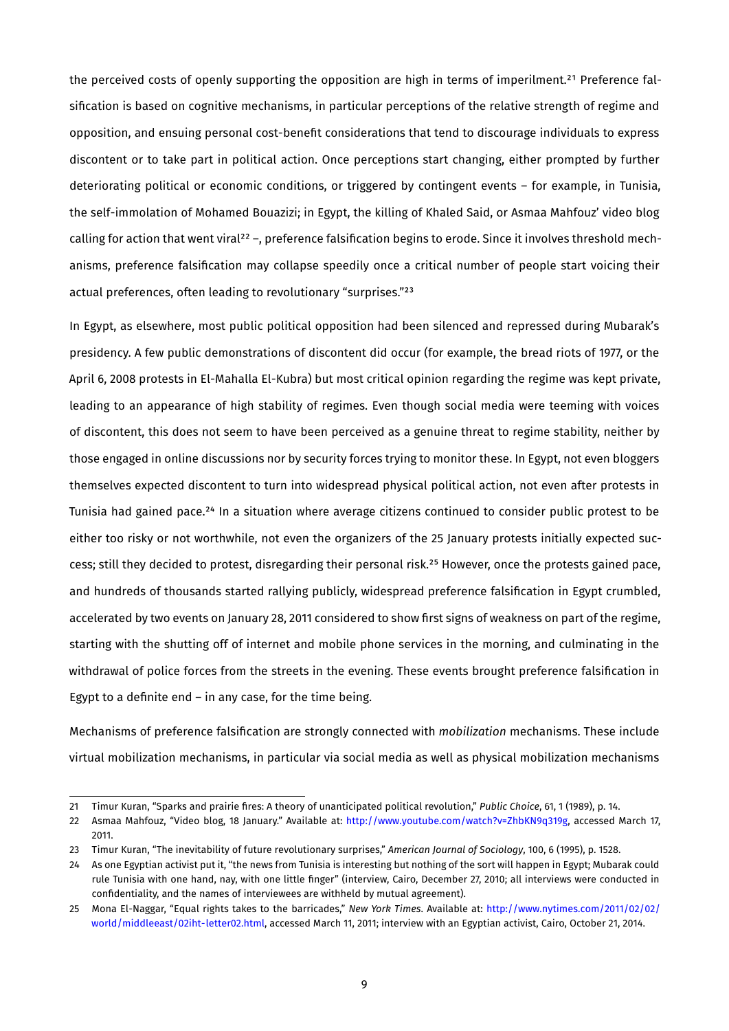the perceived costs of openly supporting the opposition are high in terms of imperilment.<sup>21</sup> Preference falsification is based on cognitive mechanisms, in particular perceptions of the relative strength of regime and opposition, and ensuing personal cost-benefit considerations that tend to discourage individuals to express discontent or to take part in political action. Once perceptions start changing, either prompted by further deteriorating political or economic conditions, or triggered by contingent events – for example, in Tunisia, the self-immolation of Mohamed Bouazizi; in Egypt, the killing of Khaled Said, or Asmaa Mahfouz' video blog calling for action that went viral<sup>22</sup> –, preference falsification begins to erode. Since it involves threshold mechanisms, preference falsification may collapse speedily once a critical number of people start voicing their actual preferences, often leading to revolutionary "surprises."<sup>23</sup>

In Egypt, as elsewhere, most public political opposition had been silenced and repressed during Mubarak's presidency. A few public demonstrations of discontent did occur (for example, the bread riots of 1977, or the April 6, 2008 protests in El-Mahalla El-Kubra) but most critical opinion regarding the regime was kept private, leading to an appearance of high stability of regimes. Even though social media were teeming with voices of discontent, this does not seem to have been perceived as a genuine threat to regime stability, neither by those engaged in online discussions nor by security forces trying to monitor these. In Egypt, not even bloggers themselves expected discontent to turn into widespread physical political action, not even after protests in Tunisia had gained pace.<sup>24</sup> In a situation where average citizens continued to consider public protest to be either too risky or not worthwhile, not even the organizers of the 25 January protests initially expected success; still they decided to protest, disregarding their personal risk.<sup>25</sup> However, once the protests gained pace, and hundreds of thousands started rallying publicly, widespread preference falsification in Egypt crumbled, accelerated by two events on January 28, 2011 considered to show first signs of weakness on part of the regime, starting with the shutting off of internet and mobile phone services in the morning, and culminating in the withdrawal of police forces from the streets in the evening. These events brought preference falsification in Egypt to a definite end – in any case, for the time being.

Mechanisms of preference falsification are strongly connected with *mobilization* mechanisms. These include virtual mobilization mechanisms, in particular via social media as well as physical mobilization mechanisms

<span id="page-9-0"></span><sup>21</sup> Timur Kuran, "Sparks and prairie fires: A theory of unanticipated political revolution," Public Choice, 61, 1 (1989), p. 14.

<span id="page-9-1"></span><sup>22</sup> Asmaa Mahfouz, "Video blog, 18 January." Available at: http://www.youtube.com/watch?v=ZhbKN9q319g, accessed March 17, 2011.

<span id="page-9-2"></span><sup>23</sup> Timur Kuran, "The inevitability of future revolutionary surprises," American Journal of Sociology, 100, 6 (1995), p. 1528.

<span id="page-9-3"></span><sup>24</sup> As one Egyptian activist put it, "the news from Tunisia is interesting but nothing of the sort will happen in Egypt; Mubarak could rule Tunisia with one hand, nay, with one little finger" (interview, Cairo, December 27, 2010; all interviews were conducted in confidentiality, and the names of interviewees are withheld by mutual agreement).

<span id="page-9-4"></span><sup>25</sup> Mona El-Naggar, "Equal rights takes to the barricades," *New York Times*. Available at: http://www.nytimes.com/2011/02/02/ world/middleeast/02iht-letter02.html, accessed March 11, 2011; interview with an Egyptian activist, Cairo, October 21, 2014.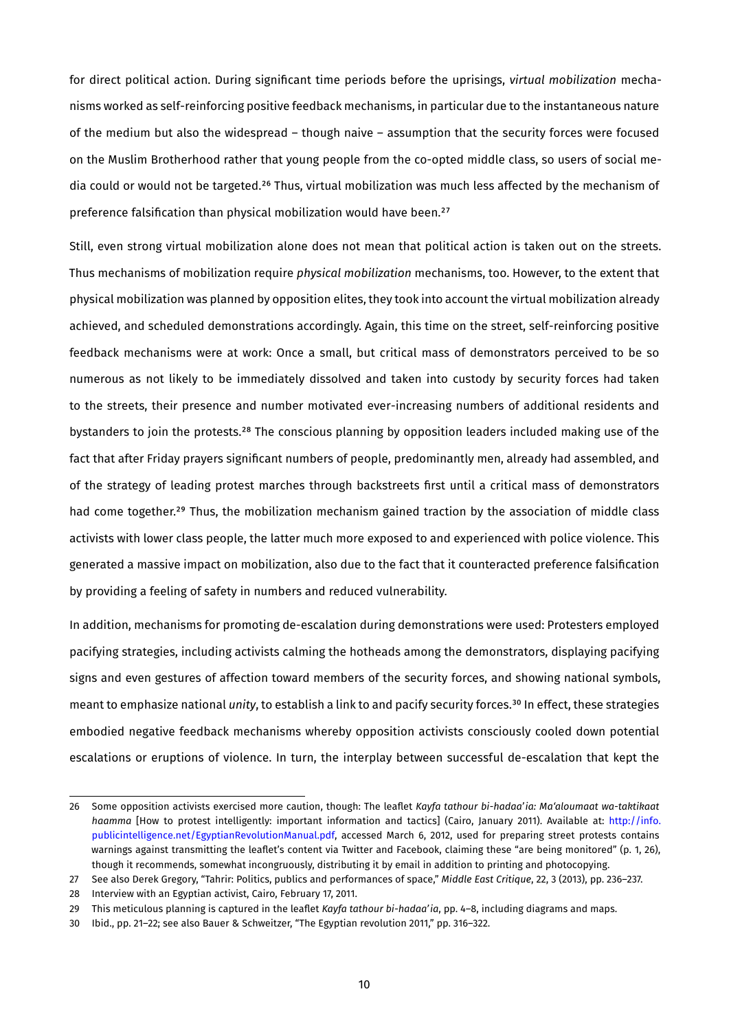for direct political action. During significant time periods before the uprisings, *virtual mobilization* mechanisms worked as self-reinforcing positive feedback mechanisms, in particular due to the instantaneous nature of the medium but also the widespread – though naive – assumption that the security forces were focused on the Muslim Brotherhood rather that young people from the co-opted middle class, so users of social media could or would not be targeted.<sup>26</sup> Thus, virtual mobilization was much less affected by the mechanism of preference falsification than physical mobilization would have been.<sup>27</sup>

Still, even strong virtual mobilization alone does not mean that political action is taken out on the streets. Thus mechanisms of mobilization require *physical mobilization* mechanisms, too. However, to the extent that physical mobilization was planned by opposition elites, they took into account the virtual mobilization already achieved, and scheduled demonstrations accordingly. Again, this time on the street, self-reinforcing positive feedback mechanisms were at work: Once a small, but critical mass of demonstrators perceived to be so numerous as not likely to be immediately dissolved and taken into custody by security forces had taken to the streets, their presence and number motivated ever-increasing numbers of additional residents and bystanders to join the protests.<sup>28</sup> The conscious planning by opposition leaders included making use of the fact that after Friday prayers significant numbers of people, predominantly men, already had assembled, and of the strategy of leading protest marches through backstreets first until a critical mass of demonstrators had come together.<sup>29</sup> Thus, the mobilization mechanism gained traction by the association of middle class activists with lower class people, the latter much more exposed to and experienced with police violence. This generated a massive impact on mobilization, also due to the fact that it counteracted preference falsification by providing a feeling of safety in numbers and reduced vulnerability.

In addition, mechanisms for promoting de-escalation during demonstrations were used: Protesters employed pacifying strategies, including activists calming the hotheads among the demonstrators, displaying pacifying signs and even gestures of affection toward members of the security forces, and showing national symbols, meant to emphasize national *unity*, to establish a link to and pacify security forces.<sup>30</sup> In effect, these strategies embodied negative feedback mechanisms whereby opposition activists consciously cooled down potential escalations or eruptions of violence. In turn, the interplay between successful de-escalation that kept the

<span id="page-10-0"></span><sup>26</sup> Some opposition activists exercised more caution, though: The leaflet *Kayfa tathour bi-hadaa'ia: Ma'aloumaat wa-taktikaat* haamma [How to protest intelligently: important information and tactics] (Cairo, January 2011). Available at: http://info. publicintelligence.net/EgyptianRevolutionManual.pdf, accessed March 6, 2012, used for preparing street protests contains warnings against transmitting the leaflet's content via Twitter and Facebook, claiming these "are being monitored" (p. 1, 26), though it recommends, somewhat incongruously, distributing it by email in addition to printing and photocopying.

<span id="page-10-1"></span><sup>27</sup> See also Derek Gregory, "Tahrir: Politics, publics and performances of space," *Middle East Critique*, 22, 3 (2013), pp. 236-237.

<span id="page-10-2"></span><sup>28</sup> Interview with an Egyptian activist, Cairo, February 17, 2011.

<span id="page-10-3"></span><sup>29</sup> This meticulous planning is captured in the leaflet *Kayfa tathour bi-hadaa'ia*, pp. 4–8, including diagrams and maps.

<span id="page-10-4"></span><sup>30</sup> Ibid., pp. 21-22; see also Bauer & Schweitzer, "The Egyptian revolution 2011," pp. 316-322.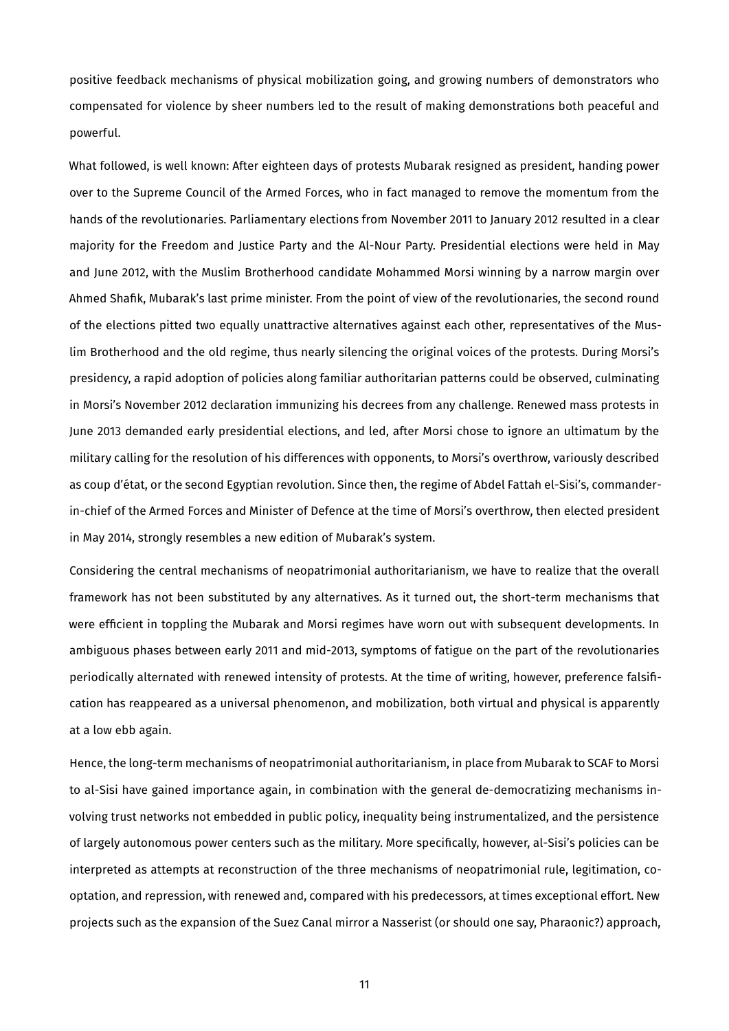positive feedback mechanisms of physical mobilization going, and growing numbers of demonstrators who compensated for violence by sheer numbers led to the result of making demonstrations both peaceful and powerful.

What followed, is well known: After eighteen days of protests Mubarak resigned as president, handing power over to the Supreme Council of the Armed Forces, who in fact managed to remove the momentum from the hands of the revolutionaries. Parliamentary elections from November 2011 to January 2012 resulted in a clear majority for the Freedom and Justice Party and the Al-Nour Party. Presidential elections were held in May and June 2012, with the Muslim Brotherhood candidate Mohammed Morsi winning by a narrow margin over Ahmed Shafik, Mubarak's last prime minister. From the point of view of the revolutionaries, the second round of the elections pitted two equally unattractive alternatives against each other, representatives of the Muslim Brotherhood and the old regime, thus nearly silencing the original voices of the protests. During Morsi's presidency, a rapid adoption of policies along familiar authoritarian patterns could be observed, culminating in Morsi's November 2012 declaration immunizing his decrees from any challenge. Renewed mass protests in June 2013 demanded early presidential elections, and led, after Morsi chose to ignore an ultimatum by the military calling for the resolution of his differences with opponents, to Morsi's overthrow, variously described as coup d'état, or the second Egyptian revolution. Since then, the regime of Abdel Fattah el-Sisi's, commanderin-chief of the Armed Forces and Minister of Defence at the time of Morsi's overthrow, then elected president in May 2014, strongly resembles a new edition of Mubarak's system.

Considering the central mechanisms of neopatrimonial authoritarianism, we have to realize that the overall framework has not been substituted by any alternatives. As it turned out, the short-term mechanisms that were efficient in toppling the Mubarak and Morsi regimes have worn out with subsequent developments. In ambiguous phases between early 2011 and mid-2013, symptoms of fatigue on the part of the revolutionaries periodically alternated with renewed intensity of protests. At the time of writing, however, preference falsification has reappeared as a universal phenomenon, and mobilization, both virtual and physical is apparently at a l⁸w ebb again.

Hence, the long-term mechanisms of neopatrimonial authoritarianism, in place from Mubarak to SCAF to Morsi to al-Sisi have gained importance again, in combination with the general de-democratizing mechanisms involving trust networks not embedded in public policy, inequality being instrumentalized, and the persistence of largely autonomous power centers such as the military. More specifically, however, al-Sisi's policies can be interpreted as attempts at reconstruction of the three mechanisms of neopatrimonial rule, legitimation, cooptation, and repression, with renewed and, compared with his predecessors, at times exceptional effort. New projects such as the expansion of the Suez Canal mirror a Nasserist (or should one say, Pharaonic?) approach,

ͮͮ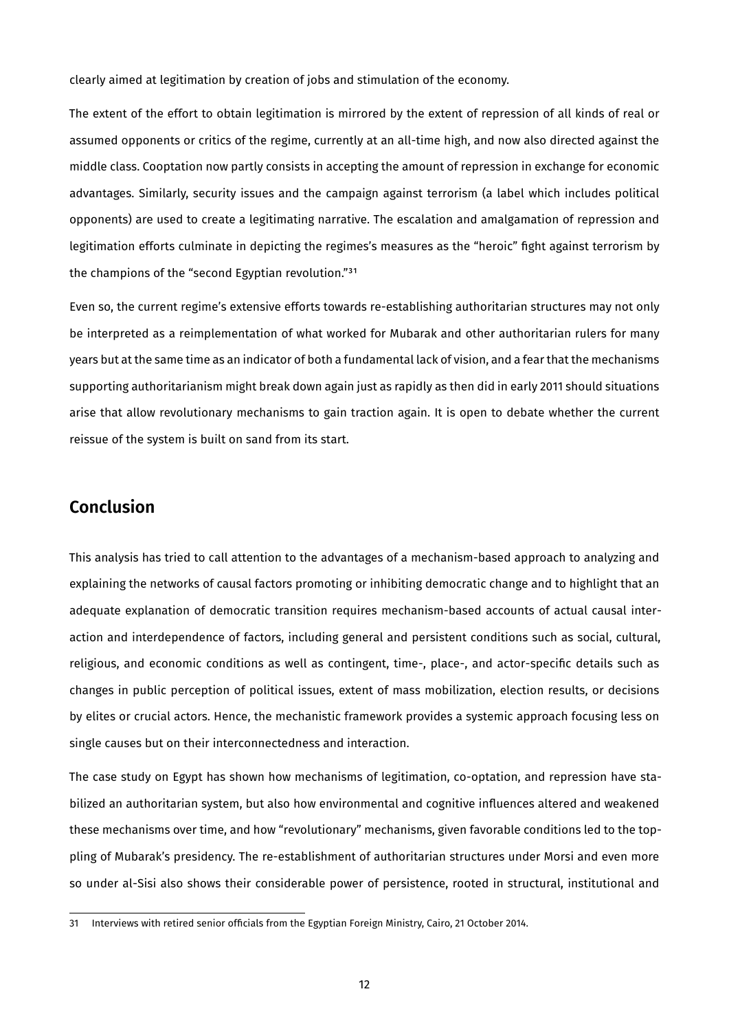clearly aimed at legitimation by creation of jobs and stimulation of the economy.

The extent of the effort to obtain legitimation is mirrored by the extent of repression of all kinds of real or assumed opponents or critics of the regime, currently at an all-time high, and now also directed against the middle class. Cooptation now partly consists in accepting the amount of repression in exchange for economic advantages. Similarly, security issues and the campaign against terrorism (a label which includes political opponents) are used to create a legitimating narrative. The escalation and amalgamation of repression and legitimation efforts culminate in depicting the regimes's measures as the "heroic" fight against terrorism by the champions of the "second Egyptian revolution."<sup>31</sup>

Even so, the current regime's extensive efforts towards re-establishing authoritarian structures may not only be interpreted as a reimplementation of what worked for Mubarak and other authoritarian rulers for many years but at the same time as an indicator of both a fundamental lack of vision, and a fear that the mechanisms supporting authoritarianism might break down again just as rapidly as then did in early 2011 should situations arise that allow revolutionary mechanisms to gain traction again. It is open to debate whether the current reissue of the system is built on sand from its start.

### **Conclusion**

This analysis has tried to call attention to the advantages of a mechanism-based approach to analyzing and explaining the networks of causal factors promoting or inhibiting democratic change and to highlight that an adequate explanation of democratic transition requires mechanism-based accounts of actual causal interaction and interdependence of factors, including general and persistent conditions such as social, cultural, religious, and economic conditions as well as contingent, time-, place-, and actor-specific details such as changes in public perception of political issues, extent of mass mobilization, election results, or decisions by elites or crucial actors. Hence, the mechanistic framework provides a systemic approach focusing less on single causes but on their interconnectedness and interaction.

The case study on Egypt has shown how mechanisms of legitimation, co-optation, and repression have stabilized an authoritarian system, but also how environmental and cognitive influences altered and weakened these mechanisms over time, and how "revolutionary" mechanisms, given favorable conditions led to the toppling of Mubarak's presidency. The re-establishment of authoritarian structures under Morsi and even more so under al-Sisi also shows their considerable power of persistence, rooted in structural, institutional and

<span id="page-12-0"></span><sup>31</sup> Interviews with retired senior officials from the Egyptian Foreign Ministry, Cairo, 21 October 2014.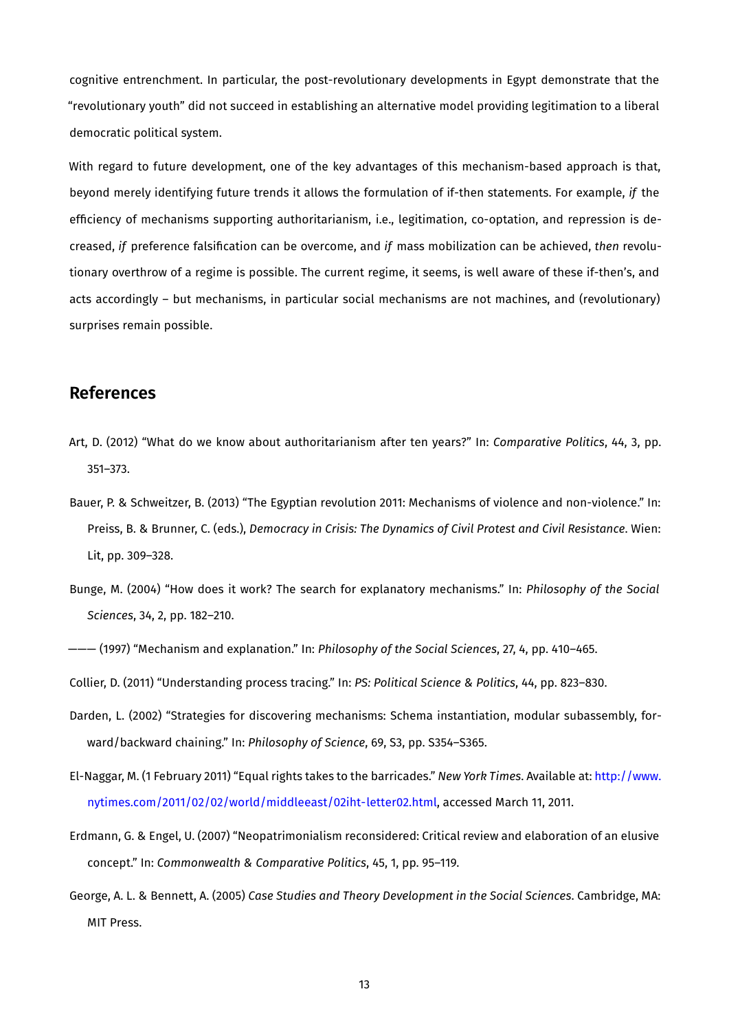cognitive entrenchment. In particular, the post-revolutionary developments in Egypt demonstrate that the "revolutionary youth" did not succeed in establishing an alternative model providing legitimation to a liberal democratic political system.

With regard to future development, one of the key advantages of this mechanism-based approach is that, beyond merely identifying future trends it allows the formulation of if-then statements. For example, *if* the efficiency of mechanisms supporting authoritarianism, i.e., legitimation, co-optation, and repression is decreased, *if* preference falsification can be overcome, and *if* mass mobilization can be achieved, *then* revolutionary overthrow of a regime is possible. The current regime, it seems, is well aware of these if-then's, and acts accordingly – but mechanisms, in particular social mechanisms are not machines, and (revolutionary) surprises remain possible.

### **References**

- Art, D. (2012) "What do we know about authoritarianism after ten years?" In: *Comparative Politics*, 44, 3, pp.  $351 - 373.$
- Bauer, P. & Schweitzer, B. (2013) "The Egyptian revolution 2011: Mechanisms of violence and non-violence." In: Preiss, B. & Brunner, C. (eds.), *Democracy in Crisis: The Dynamics of Civil Protest and Civil Resistance*. Wien: Lit, pp. 309-328.
- Bunge, M. (2004) "How does it work? The search for explanatory mechanisms." In: *Philosophy of the Social Sciences*, 34, 2, pp. 182-210.

——— (1997) "Mechanism and explanation." In: *Philosophy of the Social Sciences*, 27, 4, pp. 410-465.

Collier, D. (2011) "Understanding process tracing." In: *PS: Political Science & Politics*, 44, pp. 823-830.

- Darden, L. (2002) "Strategies for discovering mechanisms: Schema instantiation, modular subassembly, forward/backward chaining." In: Philosophy of Science, 69, S3, pp. S354-S365.
- El-Naggar, M. (1 February 2011) "Equal rights takes to the barricades." *New York Times*. Available at: [http://www.](http://www.nytimes.com/2011/02/02/world/middleeast/02iht-letter02.html) nytimes.com/2011/02/02/world/middleeast/02iht-letter02.html, accessed March 11, 2011.
- Erdmann, G. & Engel, U. (2007) "Neopatrimonialism reconsidered: Critical review and elaboration of an elusive concept." In: *Commonwealth & Comparative Politics*, 45, 1, pp. 95-119.
- George, A. L. & Bennett, A. (2005) Case Studies and Theory Development in the Social Sciences. Cambridge, MA: MIT Press.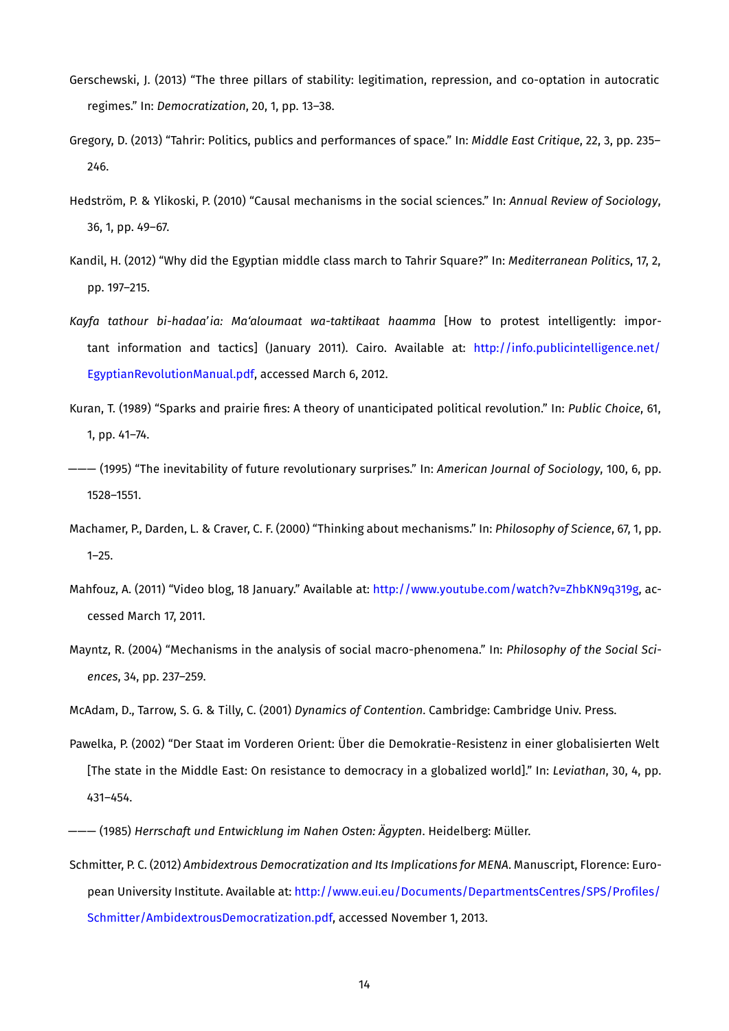- Gerschewski, J. (2013) "The three pillars of stability: legitimation, repression, and co-optation in autocratic regimes." In: *Democratization*, 20, 1, pp. 13-38.
- Gregory, D. (2013) "Tahrir: Politics, publics and performances of space." In: *Middle East Critique*, 22, 3, pp. 235– 246.
- Hedström, P. & Ylikoski, P. (2010) "Causal mechanisms in the social sciences." In: Annual Review of Sociology, 36, 1, pp. 49-67.
- Kandil, H. (2012) "Why did the Egyptian middle class march to Tahrir Square?" In: *Mediterranean Politics*, 17, 2, pp. 197-215.
- Kayfa tathour bi-hadaa'ia: Ma'aloumaat wa-taktikaat haamma [How to protest intelligently: important information and tactics] (January 2011). Cairo. Available at: http://info.publicintelligence.net/ EgyptianRevolutionManual.pdf, accessed March 6, 2012.
- Kuran, T. (1989) "Sparks and prairie fires: A theory of unanticipated political revolution." In: Public Choice, 61, 1, pp. 41-74.
- ——— (1995) "The inevitability of future revolutionary surprises." In: *American Journal of Sociology*, 100, 6, pp. 1528-1551.
- Machamer, P., Darden, L. & Craver, C. F. (2000) "Thinking about mechanisms." In: *Philosophy of Science*, 67, 1, pp.  $1 - 25.$
- Mahfouz, A. (2011) "Video blog, 18 January." Available at: http://www.youtube.com/watch?v=ZhbKN9q319g, accessed March 17, 2011.
- Mayntz, R. (2004) "Mechanisms in the analysis of social macro-phenomena." In: *Philosophy of the Social Sciences*, 34, pp. 237-259.
- McAdam, D., Tarrow, S. G. & Tilly, C. (2001) *Dynamics of Contention*. Cambridge: Cambridge Univ. Press.
- Pawelka, P. (2002) "Der Staat im Vorderen Orient: Über die Demokratie-Resistenz in einer globalisierten Welt [The state in the Middle East: On resistance to democracy in a globalized world]." In: *Leviathan*, 30, 4, pp.  $431 - 454.$
- ——— (ͮͶ͵Ͳ) *Herrschaft und Entwicklung im Nahen Osten: Ägypten*. Heidelberg: Müller.
- Schmitter, P. C. (2012) *Ambidextrous Democratization and Its Implications for MENA*. Manuscript, Florence: European University Institute. Available at: http://www.eui.eu/Documents/DepartmentsCentres/SPS/Profiles/ Schmitter/AmbidextrousDemocratization.pdf, accessed November 1, 2013.